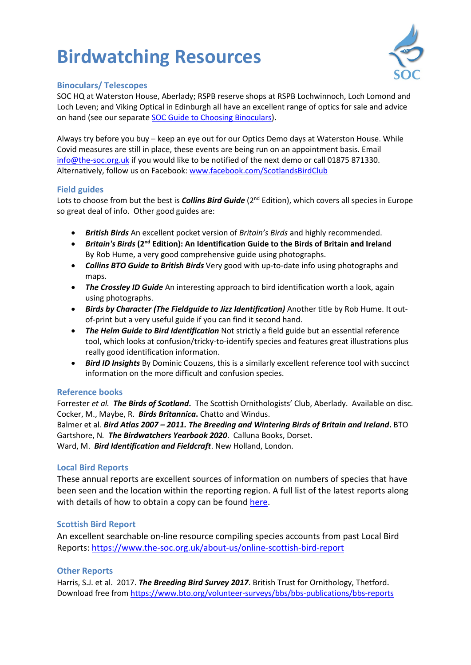# **Birdwatching Resources**



### **Binoculars/ Telescopes**

SOC HQ at Waterston House, Aberlady; RSPB reserve shops at RSPB Lochwinnoch, Loch Lomond and Loch Leven; and Viking Optical in Edinburgh all have an excellent range of optics for sale and advice on hand (see our separat[e SOC Guide to Choosing Binoculars\)](https://www.the-soc.org.uk/files/docs/SOCGuidetoChoosingBinoculars.pdf).

Always try before you buy – keep an eye out for our Optics Demo days at Waterston House. While Covid measures are still in place, these events are being run on an appointment basis. Email [info@the-soc.org.uk](mailto:info@the-soc.org.uk) if you would like to be notified of the next demo or call 01875 871330. Alternatively, follow us on Facebook[: www.facebook.com/ScotlandsBirdClub](http://www.facebook.com/ScotlandsBirdClub)

## **Field guides**

Lots to choose from but the best is *Collins Bird Guide* (2<sup>nd</sup> Edition), which covers all species in Europe so great deal of info. Other good guides are:

- *British Birds* An excellent pocket version of *Britain's Birds* and highly recommended.
- *Britain's Birds* **(2nd Edition): An Identification Guide to the Birds of Britain and Ireland**  By Rob Hume, a very good comprehensive guide using photographs.
- *Collins BTO Guide to British Birds* Very good with up-to-date info using photographs and maps.
- *The Crossley ID Guide* An interesting approach to bird identification worth a look, again using photographs.
- *Birds by Character (The Fieldguide to Jizz Identification)* Another title by Rob Hume. It outof-print but a very useful guide if you can find it second hand.
- *The Helm Guide to Bird Identification* Not strictly a field guide but an essential reference tool, which looks at confusion/tricky-to-identify species and features great illustrations plus really good identification information.
- *Bird ID Insights* By Dominic Couzens, this is a similarly excellent reference tool with succinct information on the more difficult and confusion species.

# **Reference books**

Forrester *et al. The Birds of Scotland***.** The Scottish Ornithologists' Club, Aberlady. Available on disc. Cocker, M., Maybe, R. *Birds Britannica***.** Chatto and Windus.

Balmer et al*. Bird Atlas 2007 – 2011. The Breeding and Wintering Birds of Britain and Ireland***.** BTO Gartshore, N*. The Birdwatchers Yearbook 2020*. Calluna Books, Dorset.

Ward, M. *Bird Identification and Fieldcraft*. New Holland, London.

# **Local Bird Reports**

These annual reports are excellent sources of information on numbers of species that have been seen and the location within the reporting region. A full list of the latest reports along with details of how to obtain a copy can be found [here.](https://www.the-soc.org.uk/bird-recording/bird-reports-atlases)

# **Scottish Bird Report**

An excellent searchable on-line resource compiling species accounts from past Local Bird Reports: <https://www.the-soc.org.uk/about-us/online-scottish-bird-report>

#### **Other Reports**

Harris, S.J. et al. 2017. *The Breeding Bird Survey 2017*. British Trust for Ornithology, Thetford. Download free from<https://www.bto.org/volunteer-surveys/bbs/bbs-publications/bbs-reports>